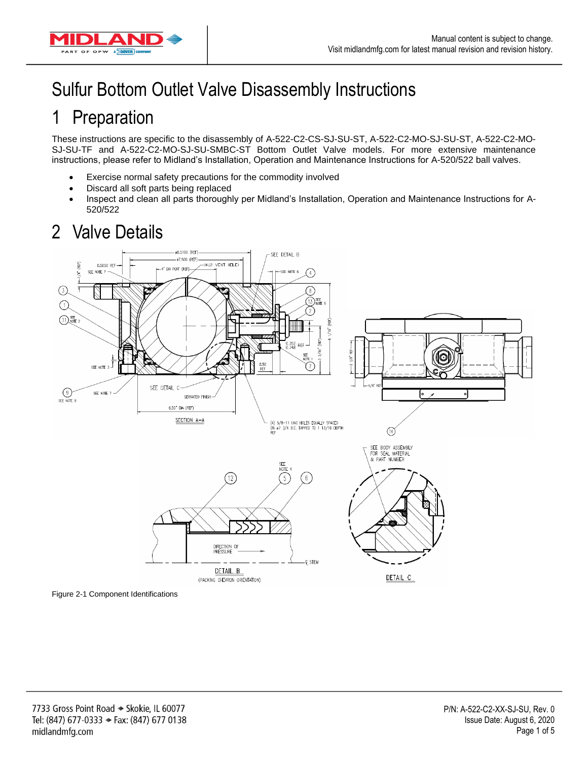

# Sulfur Bottom Outlet Valve Disassembly Instructions

#### 1 Preparation

These instructions are specific to the disassembly of A-522-C2-CS-SJ-SU-ST, A-522-C2-MO-SJ-SU-ST, A-522-C2-MO-SJ-SU-TF and A-522-C2-MO-SJ-SU-SMBC-ST Bottom Outlet Valve models. For more extensive maintenance instructions, please refer to Midland's Installation, Operation and Maintenance Instructions for A-520/522 ball valves.

- Exercise normal safety precautions for the commodity involved
- Discard all soft parts being replaced
- Inspect and clean all parts thoroughly per Midland's Installation, Operation and Maintenance Instructions for A-520/522

## 2 Valve Details



Figure 2-1 Component Identifications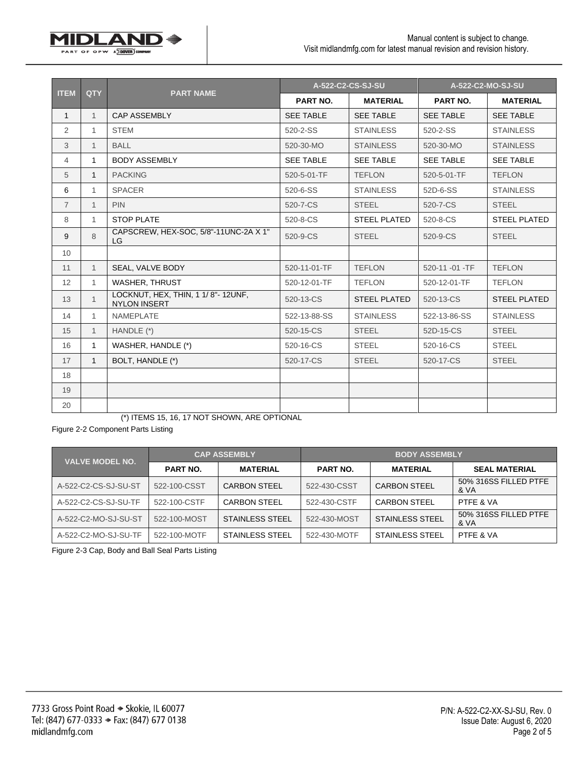| <b>ITEM</b>    | <b>QTY</b>   | <b>PART NAME</b>                                         |                  | A-522-C2-CS-SJ-SU   | A-522-C2-MO-SJ-SU |                     |
|----------------|--------------|----------------------------------------------------------|------------------|---------------------|-------------------|---------------------|
|                |              |                                                          | PART NO.         | <b>MATERIAL</b>     | PART NO.          | <b>MATERIAL</b>     |
| $\mathbf{1}$   | $\mathbf{1}$ | <b>CAP ASSEMBLY</b>                                      | <b>SEE TABLE</b> | <b>SEE TABLE</b>    | <b>SEE TABLE</b>  | <b>SEE TABLE</b>    |
| $\overline{2}$ | $\mathbf{1}$ | <b>STEM</b>                                              | 520-2-SS         | <b>STAINLESS</b>    | 520-2-SS          | <b>STAINLESS</b>    |
| 3              | $\mathbf{1}$ | <b>BALL</b>                                              | 520-30-MO        | <b>STAINLESS</b>    | 520-30-MO         | <b>STAINLESS</b>    |
| 4              | $\mathbf{1}$ | <b>BODY ASSEMBLY</b>                                     | <b>SEE TABLE</b> | <b>SEE TABLE</b>    | <b>SEE TABLE</b>  | <b>SEE TABLE</b>    |
| 5              | $\mathbf{1}$ | <b>PACKING</b>                                           | 520-5-01-TF      | <b>TEFLON</b>       | 520-5-01-TF       | <b>TEFLON</b>       |
| 6              | $\mathbf{1}$ | <b>SPACER</b>                                            | 520-6-SS         | <b>STAINLESS</b>    | 52D-6-SS          | <b>STAINLESS</b>    |
| $\overline{7}$ | $\mathbf{1}$ | <b>PIN</b>                                               | 520-7-CS         | <b>STEEL</b>        | 520-7-CS          | <b>STEEL</b>        |
| 8              | $\mathbf{1}$ | <b>STOP PLATE</b>                                        | 520-8-CS         | <b>STEEL PLATED</b> | 520-8-CS          | <b>STEEL PLATED</b> |
| 9              | 8            | CAPSCREW, HEX-SOC, 5/8"-11UNC-2A X 1"<br>LG              | 520-9-CS         | <b>STEEL</b>        | 520-9-CS          | <b>STEEL</b>        |
| 10             |              |                                                          |                  |                     |                   |                     |
| 11             | $\mathbf{1}$ | SEAL, VALVE BODY                                         | 520-11-01-TF     | <b>TEFLON</b>       | 520-11-01-TF      | <b>TEFLON</b>       |
| 12             | $\mathbf{1}$ | <b>WASHER, THRUST</b>                                    | 520-12-01-TF     | <b>TEFLON</b>       | 520-12-01-TF      | <b>TEFLON</b>       |
| 13             | $\mathbf{1}$ | LOCKNUT, HEX, THIN, 1 1/8"-12UNF,<br><b>NYLON INSERT</b> | 520-13-CS        | <b>STEEL PLATED</b> | 520-13-CS         | <b>STEEL PLATED</b> |
| 14             | $\mathbf{1}$ | <b>NAMEPLATE</b>                                         | 522-13-88-SS     | <b>STAINLESS</b>    | 522-13-86-SS      | <b>STAINLESS</b>    |
| 15             | $\mathbf{1}$ | HANDLE (*)                                               | 520-15-CS        | <b>STEEL</b>        | 52D-15-CS         | <b>STEEL</b>        |
| 16             | $\mathbf{1}$ | WASHER, HANDLE (*)                                       | 520-16-CS        | <b>STEEL</b>        | 520-16-CS         | <b>STEEL</b>        |
| 17             | $\mathbf{1}$ | BOLT, HANDLE (*)                                         | 520-17-CS        | <b>STEEL</b>        | 520-17-CS         | <b>STEEL</b>        |
| 18             |              |                                                          |                  |                     |                   |                     |
| 19             |              |                                                          |                  |                     |                   |                     |
| 20             |              |                                                          |                  |                     |                   |                     |

(\*) ITEMS 15, 16, 17 NOT SHOWN, ARE OPTIONAL

Figure 2-2 Component Parts Listing

**1IDLANI** 

PART OF OPW A DOVER

D⇒

| <b>VALVE MODEL NO.</b> | <b>CAP ASSEMBLY</b> |                        | <b>BODY ASSEMBLY</b> |                        |                               |  |
|------------------------|---------------------|------------------------|----------------------|------------------------|-------------------------------|--|
|                        | <b>PART NO.</b>     | <b>MATERIAL</b>        | <b>PART NO.</b>      | <b>MATERIAL</b>        | <b>SEAL MATERIAL</b>          |  |
| A-522-C2-CS-SJ-SU-ST   | 522-100-CSST        | <b>CARBON STEEL</b>    | 522-430-CSST         | <b>CARBON STEEL</b>    | 50% 316SS FILLED PTFE<br>& VA |  |
| A-522-C2-CS-SJ-SU-TF   | 522-100-CSTF        | <b>CARBON STEEL</b>    | 522-430-CSTF         | <b>CARBON STEEL</b>    | PTFF & VA                     |  |
| A-522-C2-MO-SJ-SU-ST   | 522-100-MOST        | <b>STAINLESS STEEL</b> | 522-430-MOST         | <b>STAINLESS STEEL</b> | 50% 316SS FILLED PTFE<br>& VA |  |
| A-522-C2-MO-SJ-SU-TF   | 522-100-MOTF        | STAINLESS STEEL        | 522-430-MOTF         | STAINLESS STEEL        | PTFE & VA                     |  |

Figure 2-3 Cap, Body and Ball Seal Parts Listing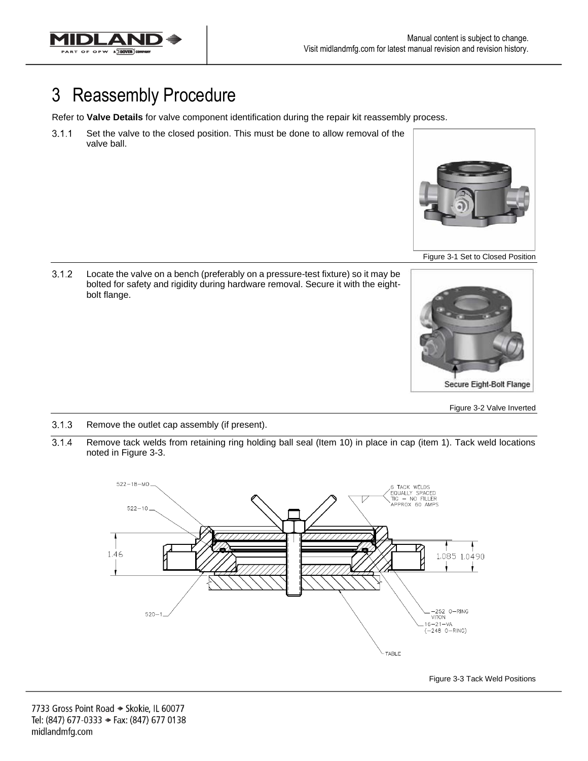

## 3 Reassembly Procedure

Refer to **Valve Details** for valve component identification during the repair kit reassembly process.

Set the valve to the closed position. This must be done to allow removal of the  $3.1.1$ valve ball.



Figure 3-1 Set to Closed Position

 $3.1.2$ Locate the valve on a bench (preferably on a pressure-test fixture) so it may be bolted for safety and rigidity during hardware removal. Secure it with the eightbolt flange.



Figure 3-2 Valve Inverted

- $3.1.3$ Remove the outlet cap assembly (if present).
- $3.1.4$ Remove tack welds from retaining ring holding ball seal (Item 10) in place in cap (item 1). Tack weld locations noted in Figure 3-3.



Figure 3-3 Tack Weld Positions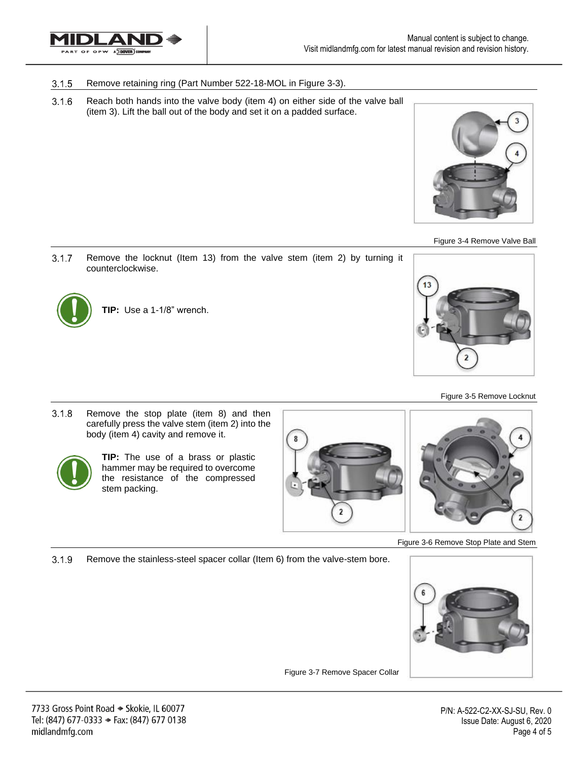

#### $3.1.5$ Remove retaining ring (Part Number 522-18-MOL in Figure 3-3).

 $3.1.6$ Reach both hands into the valve body (item 4) on either side of the valve ball (item 3). Lift the ball out of the body and set it on a padded surface.





 $3.1.7$ Remove the locknut (Item 13) from the valve stem (item 2) by turning it counterclockwise.



**TIP:** Use a 1-1/8" wrench.



#### Figure 3-5 Remove Locknut

 $3.1.8$ Remove the stop plate (item 8) and then carefully press the valve stem (item 2) into the body (item 4) cavity and remove it.



**TIP:** The use of a brass or plastic hammer may be required to overcome the resistance of the compressed stem packing.





Figure 3-6 Remove Stop Plate and Stem

 $3.1.9$ Remove the stainless-steel spacer collar (Item 6) from the valve-stem bore.



Figure 3-7 Remove Spacer Collar